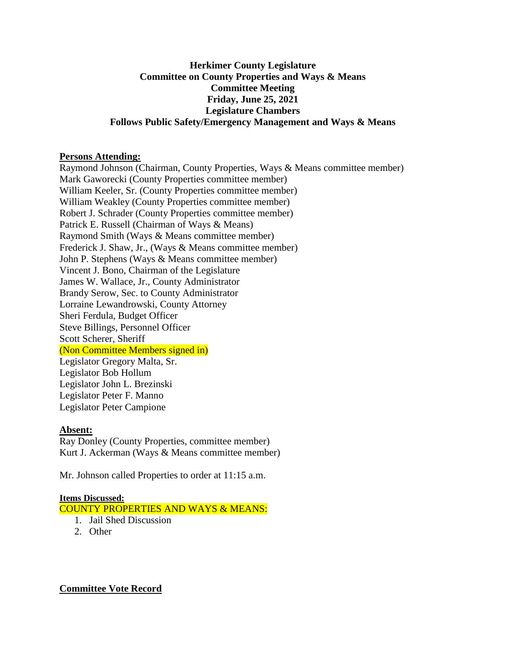## **Herkimer County Legislature Committee on County Properties and Ways & Means Committee Meeting Friday, June 25, 2021 Legislature Chambers Follows Public Safety/Emergency Management and Ways & Means**

### **Persons Attending:**

Raymond Johnson (Chairman, County Properties, Ways & Means committee member) Mark Gaworecki (County Properties committee member) William Keeler, Sr. (County Properties committee member) William Weakley (County Properties committee member) Robert J. Schrader (County Properties committee member) Patrick E. Russell (Chairman of Ways & Means) Raymond Smith (Ways & Means committee member) Frederick J. Shaw, Jr., (Ways & Means committee member) John P. Stephens (Ways & Means committee member) Vincent J. Bono, Chairman of the Legislature James W. Wallace, Jr., County Administrator Brandy Serow, Sec. to County Administrator Lorraine Lewandrowski, County Attorney Sheri Ferdula, Budget Officer Steve Billings, Personnel Officer Scott Scherer, Sheriff (Non Committee Members signed in) Legislator Gregory Malta, Sr. Legislator Bob Hollum Legislator John L. Brezinski Legislator Peter F. Manno Legislator Peter Campione

## **Absent:**

Ray Donley (County Properties, committee member) Kurt J. Ackerman (Ways & Means committee member)

Mr. Johnson called Properties to order at 11:15 a.m.

#### **Items Discussed:**

COUNTY PROPERTIES AND WAYS & MEANS:

- 1. Jail Shed Discussion
- 2. Other

## **Committee Vote Record**